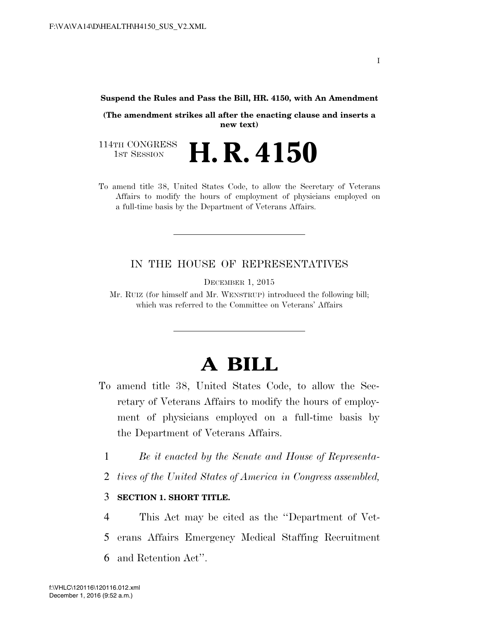## **Suspend the Rules and Pass the Bill, HR. 4150, with An Amendment**

**(The amendment strikes all after the enacting clause and inserts a new text)** 

114TH CONGRESS<br>1st Session H. R. 4150

To amend title 38, United States Code, to allow the Secretary of Veterans Affairs to modify the hours of employment of physicians employed on a full-time basis by the Department of Veterans Affairs.

## IN THE HOUSE OF REPRESENTATIVES

DECEMBER 1, 2015

Mr. RUIZ (for himself and Mr. WENSTRUP) introduced the following bill; which was referred to the Committee on Veterans' Affairs

## **A BILL**

- To amend title 38, United States Code, to allow the Secretary of Veterans Affairs to modify the hours of employment of physicians employed on a full-time basis by the Department of Veterans Affairs.
	- 1 *Be it enacted by the Senate and House of Representa-*
	- 2 *tives of the United States of America in Congress assembled,*

## 3 **SECTION 1. SHORT TITLE.**

4 This Act may be cited as the ''Department of Vet-5 erans Affairs Emergency Medical Staffing Recruitment 6 and Retention Act''.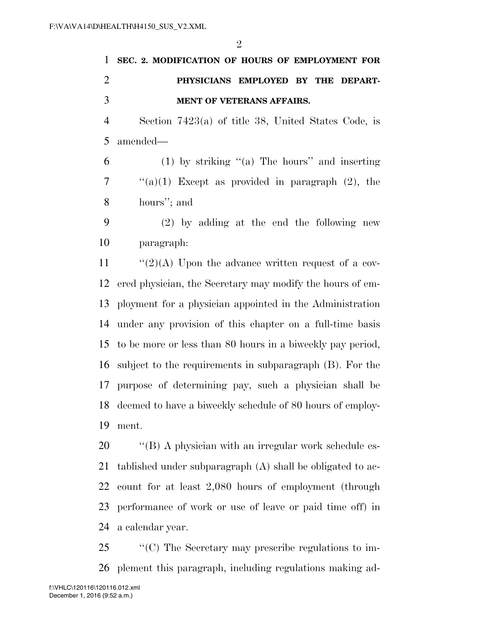| 1 SEC. 2. MODIFICATION OF HOURS OF EMPLOYMENT FOR |
|---------------------------------------------------|
| PHYSICIANS EMPLOYED BY THE DEPART-                |
| <b>MENT OF VETERANS AFFAIRS.</b>                  |

 Section 7423(a) of title 38, United States Code, is amended—

 (1) by striking ''(a) The hours'' and inserting "(a)(1) Except as provided in paragraph (2), the hours''; and

 (2) by adding at the end the following new paragraph:

 $\frac{1}{2}(2)$  (A) Upon the advance written request of a cov- ered physician, the Secretary may modify the hours of em- ployment for a physician appointed in the Administration under any provision of this chapter on a full-time basis to be more or less than 80 hours in a biweekly pay period, subject to the requirements in subparagraph (B). For the purpose of determining pay, such a physician shall be deemed to have a biweekly schedule of 80 hours of employ-ment.

20 <sup>"</sup>(B) A physician with an irregular work schedule es- tablished under subparagraph (A) shall be obligated to ac- count for at least 2,080 hours of employment (through performance of work or use of leave or paid time off) in a calendar year.

 ''(C) The Secretary may prescribe regulations to im-plement this paragraph, including regulations making ad-